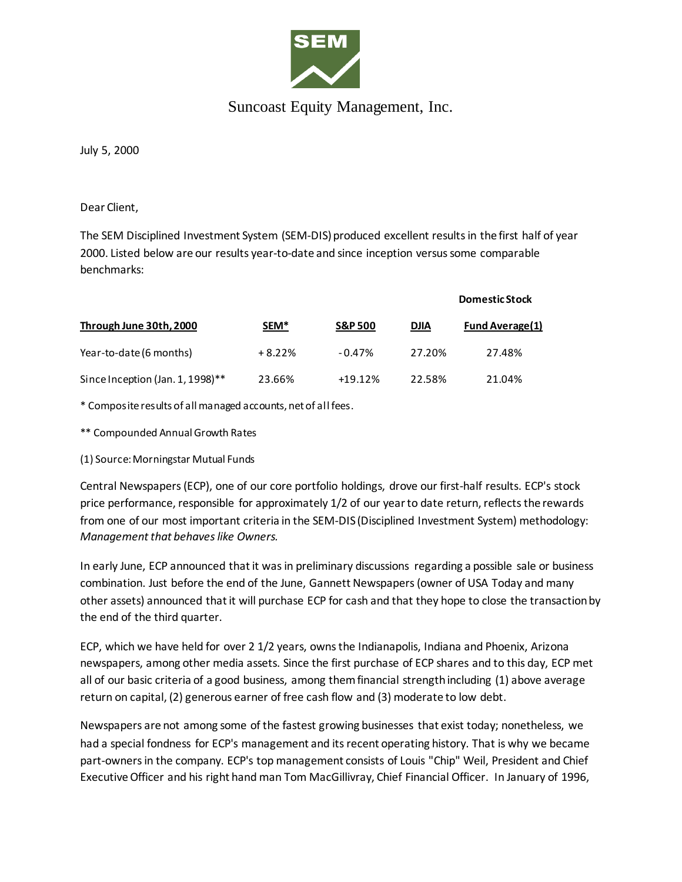

## Suncoast Equity Management, Inc.

July 5, 2000

Dear Client,

The SEM Disciplined Investment System (SEM-DIS) produced excellent results in the first half of year 2000. Listed below are our results year-to-date and since inception versus some comparable benchmarks:

| Through June 30th, 2000          | SEM <sup>*</sup> | <b>S&amp;P 500</b> | <b>Domestic Stock</b> |                 |
|----------------------------------|------------------|--------------------|-----------------------|-----------------|
|                                  |                  |                    | <b>DJIA</b>           | Fund Average(1) |
| Year-to-date (6 months)          | $+8.22%$         | $-0.47%$           | 27.20%                | 27.48%          |
| Since Inception (Jan. 1, 1998)** | 23.66%           | $+19.12%$          | 22.58%                | 21.04%          |

\* Composite results of all managed accounts, net of all fees.

\*\* Compounded Annual Growth Rates

(1) Source: Morningstar Mutual Funds

Central Newspapers (ECP), one of our core portfolio holdings, drove our first-half results. ECP's stock price performance, responsible for approximately 1/2 of our year to date return, reflects the rewards from one of our most important criteria in the SEM-DIS (Disciplined Investment System) methodology: *Management that behaves like Owners.*

In early June, ECP announced that it was in preliminary discussions regarding a possible sale or business combination. Just before the end of the June, Gannett Newspapers (owner of USA Today and many other assets) announced that it will purchase ECP for cash and that they hope to close the transaction by the end of the third quarter.

ECP, which we have held for over 2 1/2 years, owns the Indianapolis, Indiana and Phoenix, Arizona newspapers, among other media assets. Since the first purchase of ECP shares and to this day, ECP met all of our basic criteria of a good business, among them financial strength including (1) above average return on capital, (2) generous earner of free cash flow and (3) moderate to low debt.

Newspapers are not among some of the fastest growing businesses that exist today; nonetheless, we had a special fondness for ECP's management and its recent operating history. That is why we became part-owners in the company. ECP's top management consists of Louis "Chip" Weil, President and Chief Executive Officer and his right hand man Tom MacGillivray, Chief Financial Officer. In January of 1996,